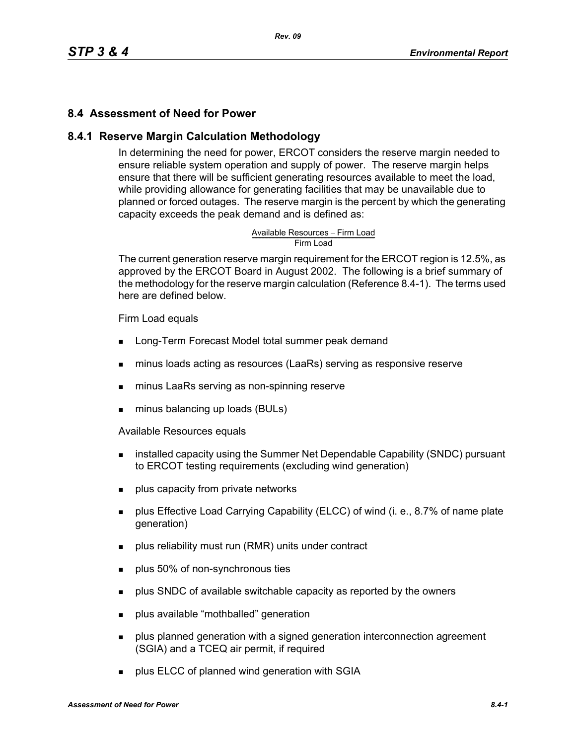### **8.4 Assessment of Need for Power**

#### **8.4.1 Reserve Margin Calculation Methodology**

In determining the need for power, ERCOT considers the reserve margin needed to ensure reliable system operation and supply of power. The reserve margin helps ensure that there will be sufficient generating resources available to meet the load, while providing allowance for generating facilities that may be unavailable due to planned or forced outages. The reserve margin is the percent by which the generating capacity exceeds the peak demand and is defined as:

# Available Resources – Firm Load<br>Firm Load

The current generation reserve margin requirement for the ERCOT region is 12.5%, as approved by the ERCOT Board in August 2002. The following is a brief summary of the methodology for the reserve margin calculation (Reference 8.4-1). The terms used here are defined below.

#### Firm Load equals

- **Long-Term Forecast Model total summer peak demand**
- minus loads acting as resources (LaaRs) serving as responsive reserve
- minus LaaRs serving as non-spinning reserve
- minus balancing up loads (BULs)

Available Resources equals

- **EXECT** installed capacity using the Summer Net Dependable Capability (SNDC) pursuant to ERCOT testing requirements (excluding wind generation)
- **plus capacity from private networks**
- plus Effective Load Carrying Capability (ELCC) of wind (i. e., 8.7% of name plate generation)
- plus reliability must run (RMR) units under contract
- **plus 50% of non-synchronous ties**
- **Propelled SNDC** of available switchable capacity as reported by the owners
- **plus available "mothballed" generation**
- **Proplus planned generation with a signed generation interconnection agreement** (SGIA) and a TCEQ air permit, if required
- **plus ELCC of planned wind generation with SGIA**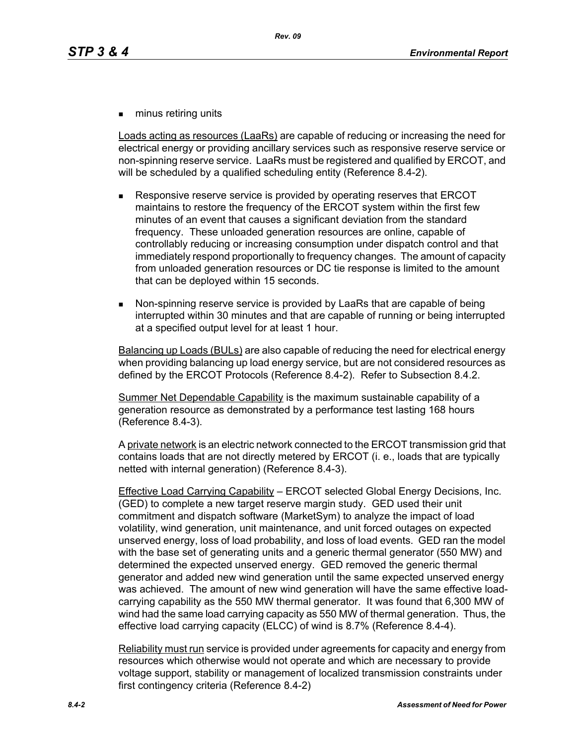**numinus retiring units** 

Loads acting as resources (LaaRs) are capable of reducing or increasing the need for electrical energy or providing ancillary services such as responsive reserve service or non-spinning reserve service. LaaRs must be registered and qualified by ERCOT, and will be scheduled by a qualified scheduling entity (Reference 8.4-2).

- Responsive reserve service is provided by operating reserves that ERCOT maintains to restore the frequency of the ERCOT system within the first few minutes of an event that causes a significant deviation from the standard frequency. These unloaded generation resources are online, capable of controllably reducing or increasing consumption under dispatch control and that immediately respond proportionally to frequency changes. The amount of capacity from unloaded generation resources or DC tie response is limited to the amount that can be deployed within 15 seconds.
- Non-spinning reserve service is provided by LaaRs that are capable of being interrupted within 30 minutes and that are capable of running or being interrupted at a specified output level for at least 1 hour.

Balancing up Loads (BULs) are also capable of reducing the need for electrical energy when providing balancing up load energy service, but are not considered resources as defined by the ERCOT Protocols (Reference 8.4-2). Refer to Subsection 8.4.2.

Summer Net Dependable Capability is the maximum sustainable capability of a generation resource as demonstrated by a performance test lasting 168 hours (Reference 8.4-3).

A private network is an electric network connected to the ERCOT transmission grid that contains loads that are not directly metered by ERCOT (i. e., loads that are typically netted with internal generation) (Reference 8.4-3).

Effective Load Carrying Capability – ERCOT selected Global Energy Decisions, Inc. (GED) to complete a new target reserve margin study. GED used their unit commitment and dispatch software (MarketSym) to analyze the impact of load volatility, wind generation, unit maintenance, and unit forced outages on expected unserved energy, loss of load probability, and loss of load events. GED ran the model with the base set of generating units and a generic thermal generator (550 MW) and determined the expected unserved energy. GED removed the generic thermal generator and added new wind generation until the same expected unserved energy was achieved. The amount of new wind generation will have the same effective loadcarrying capability as the 550 MW thermal generator. It was found that 6,300 MW of wind had the same load carrying capacity as 550 MW of thermal generation. Thus, the effective load carrying capacity (ELCC) of wind is 8.7% (Reference 8.4-4).

Reliability must run service is provided under agreements for capacity and energy from resources which otherwise would not operate and which are necessary to provide voltage support, stability or management of localized transmission constraints under first contingency criteria (Reference 8.4-2)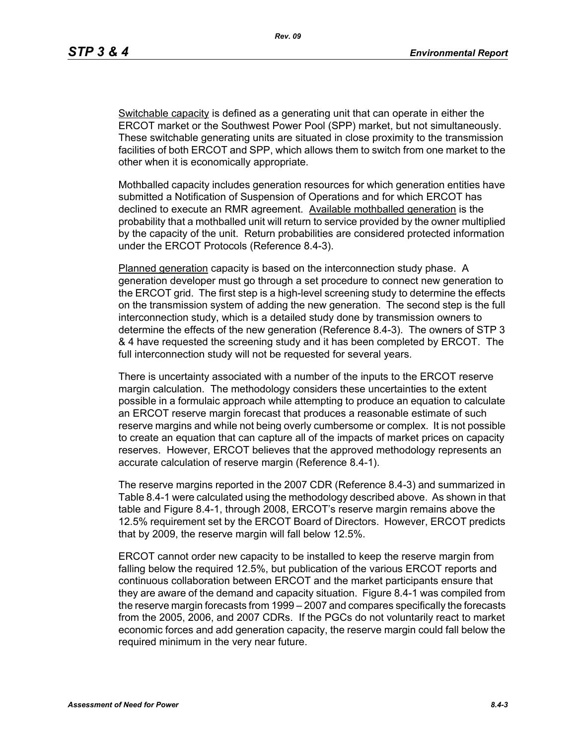*Rev. 09*

Switchable capacity is defined as a generating unit that can operate in either the ERCOT market or the Southwest Power Pool (SPP) market, but not simultaneously. These switchable generating units are situated in close proximity to the transmission facilities of both ERCOT and SPP, which allows them to switch from one market to the other when it is economically appropriate.

Mothballed capacity includes generation resources for which generation entities have submitted a Notification of Suspension of Operations and for which ERCOT has declined to execute an RMR agreement. Available mothballed generation is the probability that a mothballed unit will return to service provided by the owner multiplied by the capacity of the unit. Return probabilities are considered protected information under the ERCOT Protocols (Reference 8.4-3).

Planned generation capacity is based on the interconnection study phase. A generation developer must go through a set procedure to connect new generation to the ERCOT grid. The first step is a high-level screening study to determine the effects on the transmission system of adding the new generation. The second step is the full interconnection study, which is a detailed study done by transmission owners to determine the effects of the new generation (Reference 8.4-3). The owners of STP 3 & 4 have requested the screening study and it has been completed by ERCOT. The full interconnection study will not be requested for several years.

There is uncertainty associated with a number of the inputs to the ERCOT reserve margin calculation. The methodology considers these uncertainties to the extent possible in a formulaic approach while attempting to produce an equation to calculate an ERCOT reserve margin forecast that produces a reasonable estimate of such reserve margins and while not being overly cumbersome or complex. It is not possible to create an equation that can capture all of the impacts of market prices on capacity reserves. However, ERCOT believes that the approved methodology represents an accurate calculation of reserve margin (Reference 8.4-1).

The reserve margins reported in the 2007 CDR (Reference 8.4-3) and summarized in Table 8.4-1 were calculated using the methodology described above. As shown in that table and Figure 8.4-1, through 2008, ERCOT's reserve margin remains above the 12.5% requirement set by the ERCOT Board of Directors. However, ERCOT predicts that by 2009, the reserve margin will fall below 12.5%.

ERCOT cannot order new capacity to be installed to keep the reserve margin from falling below the required 12.5%, but publication of the various ERCOT reports and continuous collaboration between ERCOT and the market participants ensure that they are aware of the demand and capacity situation. Figure 8.4-1 was compiled from the reserve margin forecasts from 1999 – 2007 and compares specifically the forecasts from the 2005, 2006, and 2007 CDRs. If the PGCs do not voluntarily react to market economic forces and add generation capacity, the reserve margin could fall below the required minimum in the very near future.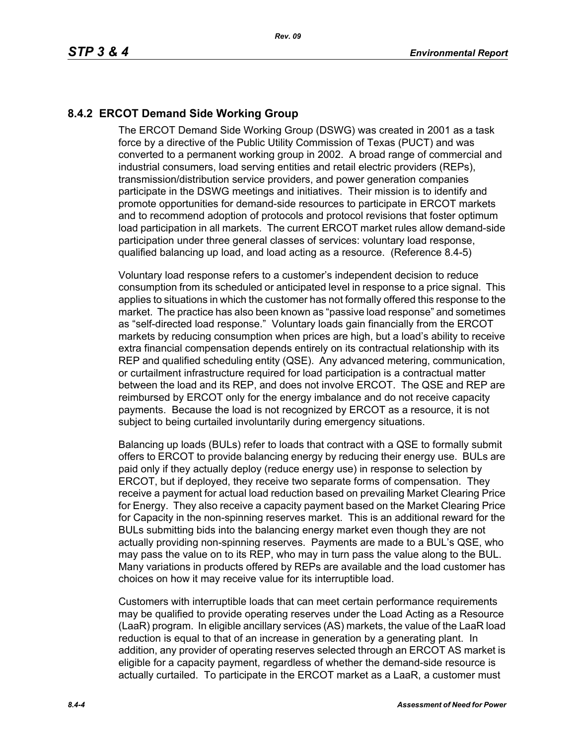## **8.4.2 ERCOT Demand Side Working Group**

The ERCOT Demand Side Working Group (DSWG) was created in 2001 as a task force by a directive of the Public Utility Commission of Texas (PUCT) and was converted to a permanent working group in 2002. A broad range of commercial and industrial consumers, load serving entities and retail electric providers (REPs), transmission/distribution service providers, and power generation companies participate in the DSWG meetings and initiatives. Their mission is to identify and promote opportunities for demand-side resources to participate in ERCOT markets and to recommend adoption of protocols and protocol revisions that foster optimum load participation in all markets. The current ERCOT market rules allow demand-side participation under three general classes of services: voluntary load response, qualified balancing up load, and load acting as a resource. (Reference 8.4-5)

Voluntary load response refers to a customer's independent decision to reduce consumption from its scheduled or anticipated level in response to a price signal. This applies to situations in which the customer has not formally offered this response to the market. The practice has also been known as "passive load response" and sometimes as "self-directed load response." Voluntary loads gain financially from the ERCOT markets by reducing consumption when prices are high, but a load's ability to receive extra financial compensation depends entirely on its contractual relationship with its REP and qualified scheduling entity (QSE). Any advanced metering, communication, or curtailment infrastructure required for load participation is a contractual matter between the load and its REP, and does not involve ERCOT. The QSE and REP are reimbursed by ERCOT only for the energy imbalance and do not receive capacity payments. Because the load is not recognized by ERCOT as a resource, it is not subject to being curtailed involuntarily during emergency situations.

Balancing up loads (BULs) refer to loads that contract with a QSE to formally submit offers to ERCOT to provide balancing energy by reducing their energy use. BULs are paid only if they actually deploy (reduce energy use) in response to selection by ERCOT, but if deployed, they receive two separate forms of compensation. They receive a payment for actual load reduction based on prevailing Market Clearing Price for Energy. They also receive a capacity payment based on the Market Clearing Price for Capacity in the non-spinning reserves market. This is an additional reward for the BULs submitting bids into the balancing energy market even though they are not actually providing non-spinning reserves. Payments are made to a BUL's QSE, who may pass the value on to its REP, who may in turn pass the value along to the BUL. Many variations in products offered by REPs are available and the load customer has choices on how it may receive value for its interruptible load.

Customers with interruptible loads that can meet certain performance requirements may be qualified to provide operating reserves under the Load Acting as a Resource (LaaR) program. In eligible ancillary services (AS) markets, the value of the LaaR load reduction is equal to that of an increase in generation by a generating plant. In addition, any provider of operating reserves selected through an ERCOT AS market is eligible for a capacity payment, regardless of whether the demand-side resource is actually curtailed. To participate in the ERCOT market as a LaaR, a customer must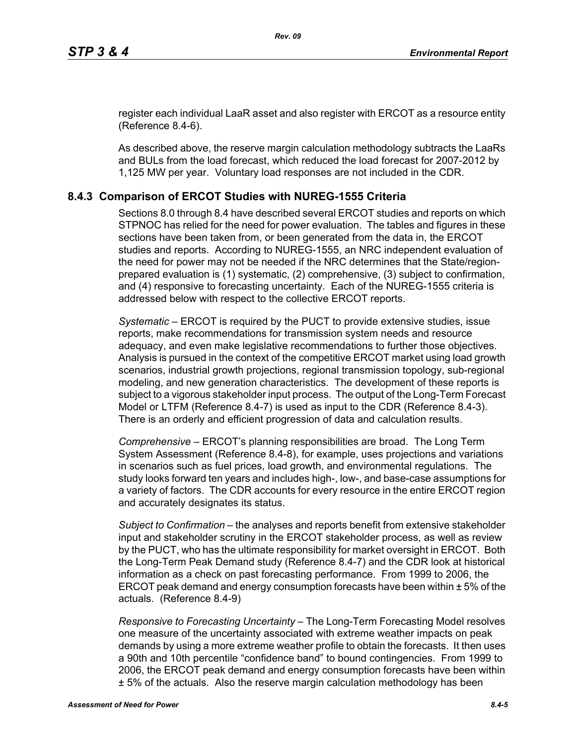[register each individual LaaR asset and also register with ERCOT as a resource entity](http://www.ercot.com/services/rq/re/index.html)  (Reference 8.4-6).

As described above, the reserve margin calculation methodology subtracts the LaaRs and BULs from the load forecast, which reduced the load forecast for 2007-2012 by 1,125 MW per year. Voluntary load responses are not included in the CDR.

#### **8.4.3 Comparison of ERCOT Studies with NUREG-1555 Criteria**

Sections 8.0 through 8.4 have described several ERCOT studies and reports on which STPNOC has relied for the need for power evaluation. The tables and figures in these sections have been taken from, or been generated from the data in, the ERCOT studies and reports. According to NUREG-1555, an NRC independent evaluation of the need for power may not be needed if the NRC determines that the State/regionprepared evaluation is (1) systematic, (2) comprehensive, (3) subject to confirmation, and (4) responsive to forecasting uncertainty. Each of the NUREG-1555 criteria is addressed below with respect to the collective ERCOT reports.

*Systematic* – ERCOT is required by the PUCT to provide extensive studies, issue reports, make recommendations for transmission system needs and resource adequacy, and even make legislative recommendations to further those objectives. Analysis is pursued in the context of the competitive ERCOT market using load growth scenarios, industrial growth projections, regional transmission topology, sub-regional modeling, and new generation characteristics. The development of these reports is subject to a vigorous stakeholder input process. The output of the Long-Term Forecast Model or LTFM (Reference 8.4-7) is used as input to the CDR (Reference 8.4-3). There is an orderly and efficient progression of data and calculation results.

*Comprehensive* – ERCOT's planning responsibilities are broad. The Long Term System Assessment (Reference 8.4-8), for example, uses projections and variations in scenarios such as fuel prices, load growth, and environmental regulations. The study looks forward ten years and includes high-, low-, and base-case assumptions for a variety of factors. The CDR accounts for every resource in the entire ERCOT region and accurately designates its status.

*Subject to Confirmation* – the analyses and reports benefit from extensive stakeholder input and stakeholder scrutiny in the ERCOT stakeholder process, as well as review by the PUCT, who has the ultimate responsibility for market oversight in ERCOT. Both the Long-Term Peak Demand study (Reference 8.4-7) and the CDR look at historical information as a check on past forecasting performance. From 1999 to 2006, the ERCOT peak demand and energy consumption forecasts have been within ± 5% of the actuals. (Reference 8.4-9)

*Responsive to Forecasting Uncertainty* – The Long-Term Forecasting Model resolves one measure of the uncertainty associated with extreme weather impacts on peak demands by using a more extreme weather profile to obtain the forecasts. It then uses a 90th and 10th percentile "confidence band" to bound contingencies. From 1999 to 2006, the ERCOT peak demand and energy consumption forecasts have been within ± 5% of the actuals. Also the reserve margin calculation methodology has been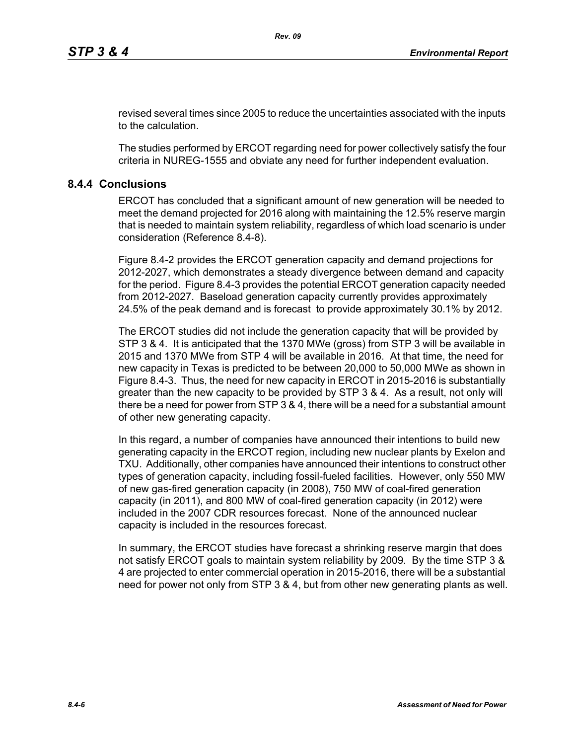revised several times since 2005 to reduce the uncertainties associated with the inputs to the calculation.

The studies performed by ERCOT regarding need for power collectively satisfy the four criteria in NUREG-1555 and obviate any need for further independent evaluation.

### **8.4.4 Conclusions**

ERCOT has concluded that a significant amount of new generation will be needed to meet the demand projected for 2016 along with maintaining the 12.5% reserve margin that is needed to maintain system reliability, regardless of which load scenario is under consideration (Reference 8.4-8).

Figure 8.4-2 provides the ERCOT generation capacity and demand projections for 2012-2027, which demonstrates a steady divergence between demand and capacity for the period. Figure 8.4-3 provides the potential ERCOT generation capacity needed from 2012-2027. Baseload generation capacity currently provides approximately 24.5% of the peak demand and is forecast to provide approximately 30.1% by 2012.

The ERCOT studies did not include the generation capacity that will be provided by STP 3 & 4. It is anticipated that the 1370 MWe (gross) from STP 3 will be available in 2015 and 1370 MWe from STP 4 will be available in 2016. At that time, the need for new capacity in Texas is predicted to be between 20,000 to 50,000 MWe as shown in Figure 8.4-3. Thus, the need for new capacity in ERCOT in 2015-2016 is substantially greater than the new capacity to be provided by STP 3 & 4. As a result, not only will there be a need for power from STP 3 & 4, there will be a need for a substantial amount of other new generating capacity.

In this regard, a number of companies have announced their intentions to build new generating capacity in the ERCOT region, including new nuclear plants by Exelon and TXU. Additionally, other companies have announced their intentions to construct other types of generation capacity, including fossil-fueled facilities. However, only 550 MW of new gas-fired generation capacity (in 2008), 750 MW of coal-fired generation capacity (in 2011), and 800 MW of coal-fired generation capacity (in 2012) were included in the 2007 CDR resources forecast. None of the announced nuclear capacity is included in the resources forecast.

In summary, the ERCOT studies have forecast a shrinking reserve margin that does not satisfy ERCOT goals to maintain system reliability by 2009. By the time STP 3 & 4 are projected to enter commercial operation in 2015-2016, there will be a substantial need for power not only from STP 3 & 4, but from other new generating plants as well.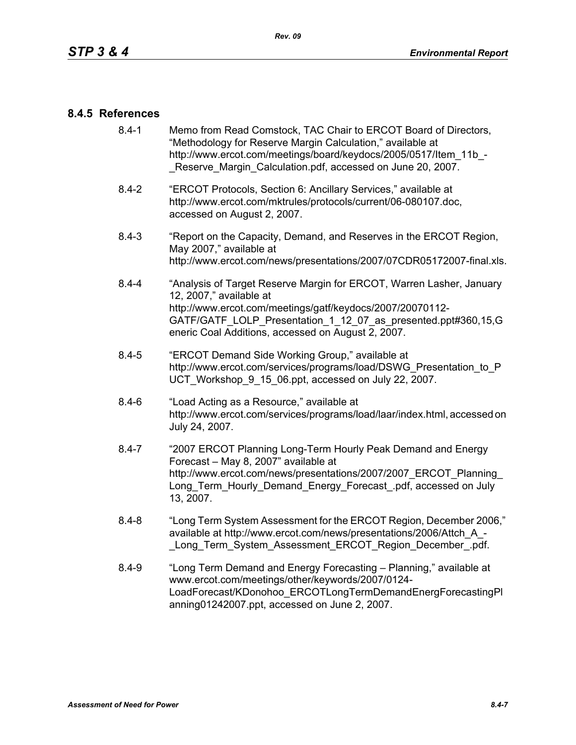#### **8.4.5 References**

- [8.4-1 Memo from Read Comstock, TAC Chair to ERCOT Board of Directors,](http://www.ercot.com/meetings/board/keydocs/2005/0517/Item_11b_-_Reserve_Margin_Calculation.pdf)  "Methodology for Reserve Margin Calculation," available at http://www.ercot.com/meetings/board/keydocs/2005/0517/Item\_11b\_-Reserve Margin Calculation.pdf, accessed on June 20, 2007.
- [8.4-2 "ERCOT Protocols, Section 6: Ancillary Services," available at](http://www.ercot.com/mktrules/protocols/current/06-080107.doc)  http://www.ercot.com/mktrules/protocols/current/06-080107.doc, accessed on August 2, 2007.
- 8.4-3 "Report on the Capacity, Demand, and Reserves in the ERCOT Region, May 2007," available at http://www.ercot.com/news/presentations/2007/07CDR05172007-final.xls.
- 8.4-4 "Analysis of Target Reserve Margin for ERCOT, Warren Lasher, January 12, 2007," available at http://www.ercot.com/meetings/gatf/keydocs/2007/20070112- GATF/GATF\_LOLP\_Presentation\_1\_12\_07\_as\_presented.ppt#360,15,G eneric Coal Additions, accessed on August 2, 2007.
- 8.4-5 "ERCOT Demand Side Working Group," available at [http://www.ercot.com/services/programs/load/DSWG\\_Presentation\\_to\\_P](http://www.ercot.com/services/programs/load/DSWG_Presentation_to_PUCT_Workshop_9_15_06.ppt) UCT\_Workshop\_9\_15\_06.ppt, accessed on July 22, 2007.
- 8.4-6 "Load Acting as a Resource," available at [http://www.ercot.com/services/programs/load/laar/index.html, accessed on](http://www.ercot.com/services/programs/load/laar/index.html)  July 24, 2007.
- [8.4-7 "2007 ERCOT Planning Long-Term Hourly Peak Demand and Energy](http://www.ercot.com/news/presentations/2007/2007_ERCOT_Planning_Long_Term_Hourly_Demand_Energy_Forecast_.pdf)  Forecast – May 8, 2007" available at http://www.ercot.com/news/presentations/2007/2007\_ERCOT\_Planning Long Term Hourly Demand Energy Forecast .pdf, accessed on July 13, 2007.
- 8.4-8 "Long Term System Assessment for the ERCOT Region, December 2006," available at http://www.ercot.com/news/presentations/2006/Attch\_A\_- Long Term System Assessment ERCOT Region December .pdf.
- 8.4-9 ["Long Term Demand and Energy Forecasting Planning," available at](http://www.ercot.com/meetings/other/keywords/2007/0124-LoadForecast/KDonohoo_ERCOTLongTermDemandEnergForecastingPlanning01242007.ppt)  www.ercot.com/meetings/other/keywords/2007/0124- [LoadForecast/KDonohoo\\_ERCOTLongTermDemandEnergForecastingPl](http://www.ercot.com/meetings/other/keywords/2007/0124-LoadForecast/KDonohoo_ERCOTLongTermDemandEnergForecastingPlanning01242007.ppt) [anning01242007.ppt, accessed on June 2, 2007.](http://www.ercot.com/meetings/other/keywords/2007/0124-LoadForecast/KDonohoo_ERCOTLongTermDemandEnergForecastingPlanning01242007.ppt)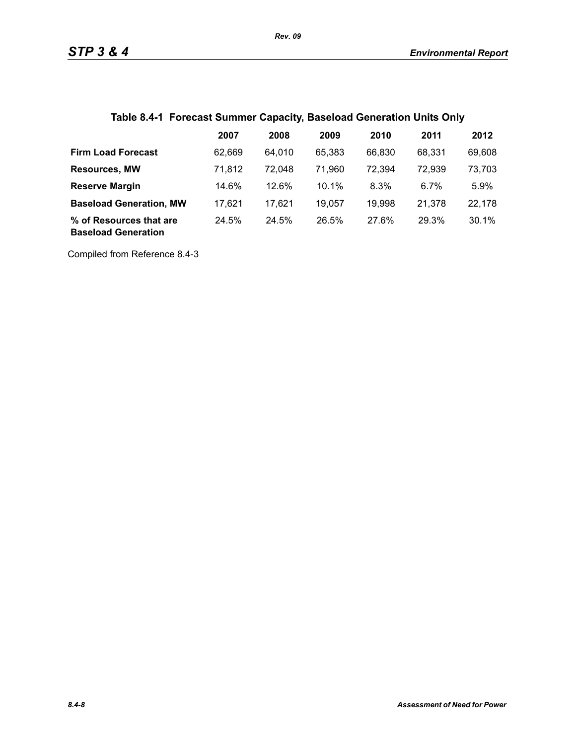## **Table 8.4-1 Forecast Summer Capacity, Baseload Generation Units Only**

|                                                       | 2007   | 2008   | 2009   | 2010   | 2011   | 2012   |
|-------------------------------------------------------|--------|--------|--------|--------|--------|--------|
| <b>Firm Load Forecast</b>                             | 62.669 | 64.010 | 65.383 | 66,830 | 68.331 | 69,608 |
| <b>Resources, MW</b>                                  | 71,812 | 72.048 | 71.960 | 72,394 | 72,939 | 73,703 |
| <b>Reserve Margin</b>                                 | 14.6%  | 12.6%  | 10.1%  | 8.3%   | 6.7%   | 5.9%   |
| <b>Baseload Generation, MW</b>                        | 17.621 | 17,621 | 19.057 | 19,998 | 21,378 | 22,178 |
| % of Resources that are<br><b>Baseload Generation</b> | 24.5%  | 24.5%  | 26.5%  | 27.6%  | 29.3%  | 30.1%  |

Compiled from Reference 8.4-3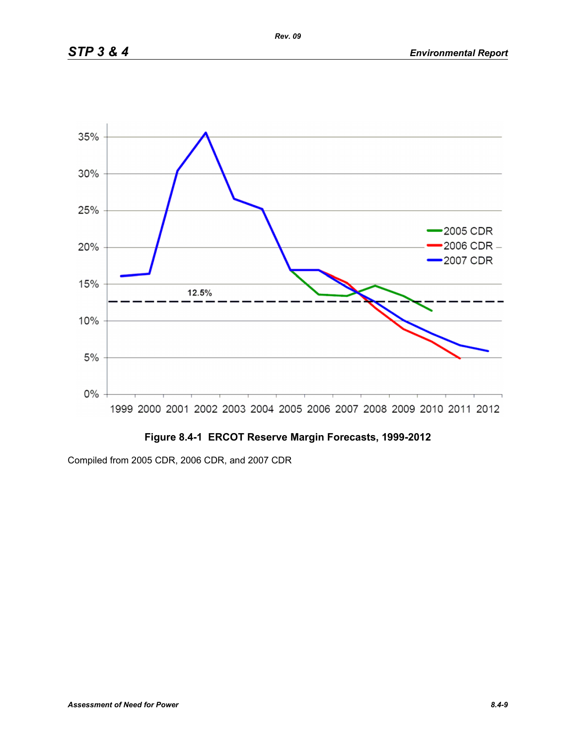

## **Figure 8.4-1 ERCOT Reserve Margin Forecasts, 1999-2012**

Compiled from 2005 CDR, 2006 CDR, and 2007 CDR

*Rev. 09*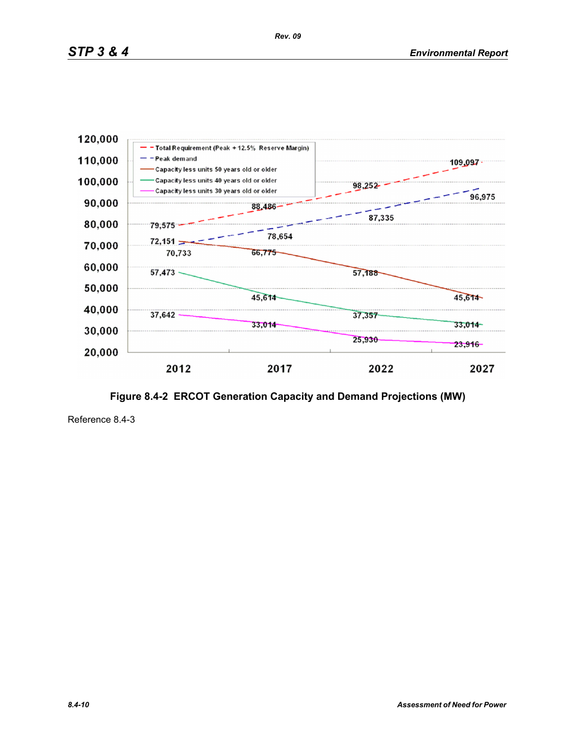

**Figure 8.4-2 ERCOT Generation Capacity and Demand Projections (MW)**

Reference 8.4-3